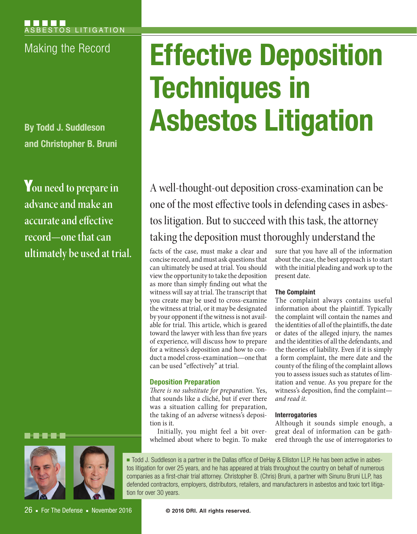**By Todd J. Suddleson and Christopher B. Bruni**

Y**ou need to prepare in advance and make an accurate and effective record—one that can ultimately be used at trial.**

. . .



# Making the Record **Effective Deposition Techniques in Asbestos Litigation**

A well-thought-out deposition cross-examination can be one of the most effective tools in defending cases in asbestos litigation. But to succeed with this task, the attorney taking the deposition must thoroughly understand the

facts of the case, must make a clear and concise record, and must ask questions that can ultimately be used at trial. You should view the opportunity to take the deposition as more than simply finding out what the witness will say at trial. The transcript that you create may be used to cross-examine the witness at trial, or it may be designated by your opponent if the witness is not available for trial. This article, which is geared toward the lawyer with less than five years of experience, will discuss how to prepare for a witness's deposition and how to conduct a model cross-examination—one that can be used "effectively" at trial.

# **Deposition Preparation**

*There is no substitute for preparation.* Yes, that sounds like a cliché, but if ever there was a situation calling for preparation, the taking of an adverse witness's deposition is it.

Initially, you might feel a bit overwhelmed about where to begin. To make

sure that you have all of the information about the case, the best approach is to start with the initial pleading and work up to the present date.

# **The Complaint**

The complaint always contains useful information about the plaintiff. Typically the complaint will contain the names and the identities of all of the plaintiffs, the date or dates of the alleged injury, the names and the identities of all the defendants, and the theories of liability. Even if it is simply a form complaint, the mere date and the county of the filing of the complaint allows you to assess issues such as statutes of limitation and venue. As you prepare for the witness's deposition, find the complaint *and read it.*

# **Interrogatories**

Although it sounds simple enough, a great deal of information can be gathered through the use of interrogatories to

■ Todd J. Suddleson is a partner in the Dallas office of DeHay & Elliston LLP. He has been active in asbestos litigation for over 25 years, and he has appeared at trials throughout the country on behalf of numerous companies as a first-chair trial attorney. Christopher B. (Chris) Bruni, a partner with Sinunu Bruni LLP, has defended contractors, employers, distributors, retailers, and manufacturers in asbestos and toxic tort litigation for over 30 years.

**© 2016 DRI. All rights reserved.**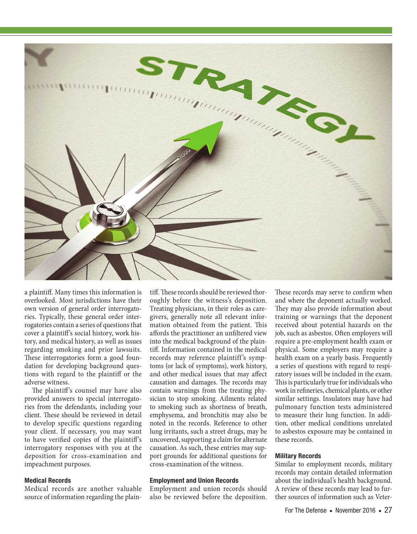

a plaintiff. Many times this information is overlooked. Most jurisdictions have their own version of general order interrogatories. Typically, these general order interrogatories contain a series of questions that cover a plaintiff's social history, work history, and medical history, as well as issues regarding smoking and prior lawsuits. These interrogatories form a good foundation for developing background questions with regard to the plaintiff or the adverse witness.

The plaintiff's counsel may have also provided answers to special interrogatories from the defendants, including your client. These should be reviewed in detail to develop specific questions regarding your client. If necessary, you may want to have verified copies of the plaintiff's interrogatory responses with you at the deposition for cross-examination and impeachment purposes.

### **Medical Records**

Medical records are another valuable source of information regarding the plaintiff. These records should be reviewed thoroughly before the witness's deposition. Treating physicians, in their roles as caregivers, generally note all relevant information obtained from the patient. This affords the practitioner an unfiltered view into the medical background of the plaintiff. Information contained in the medical records may reference plaintiff's symptoms (or lack of symptoms), work history, and other medical issues that may affect causation and damages. The records may contain warnings from the treating physician to stop smoking. Ailments related to smoking such as shortness of breath, emphysema, and bronchitis may also be noted in the records. Reference to other lung irritants, such a street drugs, may be uncovered, supporting a claim for alternate causation. As such, these entries may support grounds for additional questions for cross-examination of the witness.

#### **Employment and Union Records**

Employment and union records should also be reviewed before the deposition.

These records may serve to confirm when and where the deponent actually worked. They may also provide information about training or warnings that the deponent received about potential hazards on the job, such as asbestos. Often employers will require a pre-employment health exam or physical. Some employers may require a health exam on a yearly basis. Frequently a series of questions with regard to respiratory issues will be included in the exam. This is particularly true for individuals who work in refineries, chemical plants, or other similar settings. Insulators may have had pulmonary function tests administered to measure their lung function. In addition, other medical conditions unrelated to asbestos exposure may be contained in these records.

#### **Military Records**

Similar to employment records, military records may contain detailed information about the individual's health background. A review of these records may lead to further sources of information such as Veter-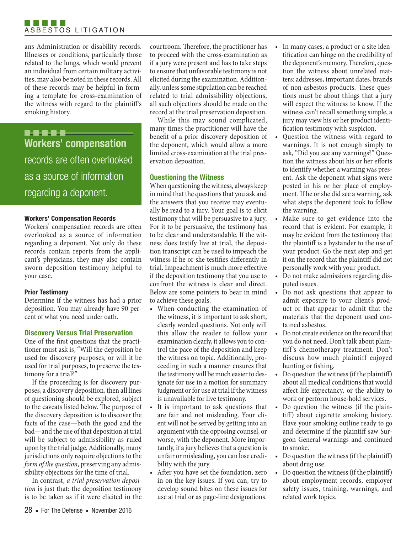# Film a film ASBESTOS LITIGATION

ans Administration or disability records. Illnesses or conditions, particularly those related to the lungs, which would prevent an individual from certain military activities, may also be noted in these records. All of these records may be helpful in forming a template for cross-examination of the witness with regard to the plaintiff's smoking history.

# -----

**Workers' compensation**  records are often overlooked as a source of information regarding a deponent.

# **Workers' Compensation Records**

Workers' compensation records are often overlooked as a source of information regarding a deponent. Not only do these records contain reports from the applicant's physicians, they may also contain sworn deposition testimony helpful to your case.

# **Prior Testimony**

Determine if the witness has had a prior deposition. You may already have 90 percent of what you need under oath.

# **Discovery Versus Trial Preservation**

One of the first questions that the practitioner must ask is, "Will the deposition be used for discovery purposes, or will it be used for trial purposes, to preserve the testimony for a trial?"

If the proceeding is for discovery purposes, a discovery deposition, then all lines of questioning should be explored, subject to the caveats listed below. The purpose of the discovery deposition is to discover the facts of the case—both the good and the bad—and the use of that deposition at trial will be subject to admissibility as ruled upon by the trial judge. Additionally, many jurisdictions only require objections to the *form of the question,* preserving any admissibility objections for the time of trial.

In contrast, *a trial preservation deposition* is just that: the deposition testimony is to be taken as if it were elicited in the courtroom. Therefore, the practitioner has to proceed with the cross-examination as if a jury were present and has to take steps to ensure that unfavorable testimony is not elicited during the examination. Additionally, unless some stipulation can be reached related to trial admissibility objections, all such objections should be made on the record at the trial preservation deposition.

While this may sound complicated, many times the practitioner will have the benefit of a prior discovery deposition of the deponent, which would allow a more limited cross-examination at the trial preservation deposition.

# **Questioning the Witness**

When questioning the witness, always keep in mind that the questions that you ask and the answers that you receive may eventually be read to a jury. Your goal is to elicit testimony that will be persuasive to a jury. For it to be persuasive, the testimony has to be clear and understandable. If the witness does testify live at trial, the deposition transcript can be used to impeach the witness if he or she testifies differently in trial. Impeachment is much more effective if the deposition testimony that you use to confront the witness is clear and direct. Below are some pointers to bear in mind to achieve these goals.

- When conducting the examination of the witness, it is important to ask short, clearly worded questions. Not only will this allow the reader to follow your examination clearly, it allows you to control the pace of the deposition and keep the witness on topic. Additionally, proceeding in such a manner ensures that the testimony will be much easier to designate for use in a motion for summary judgment or for use at trial if the witness is unavailable for live testimony.
- It is important to ask questions that are fair and not misleading. Your client will not be served by getting into an argument with the opposing counsel, or worse, with the deponent. More importantly, if a jury believes that a question is unfair or misleading, you can lose credibility with the jury.
- After you have set the foundation, zero in on the key issues. If you can, try to develop sound bites on these issues for use at trial or as page-line designations.
- In many cases, a product or a site identification can hinge on the credibility of the deponent's memory. Therefore, question the witness about unrelated matters: addresses, important dates, brands of non-asbestos products. These questions must be about things that a jury will expect the witness to know. If the witness can't recall something simple, a jury may view his or her product identification testimony with suspicion.
- Question the witness with regard to warnings. It is not enough simply to ask, "Did you see any warnings?" Question the witness about his or her efforts to identify whether a warning was present. Ask the deponent what signs were posted in his or her place of employment. If he or she did see a warning, ask what steps the deponent took to follow the warning.
- Make sure to get evidence into the record that is evident. For example, it may be evident from the testimony that the plaintiff is a bystander to the use of your product. Go the next step and get it on the record that the plaintiff did not personally work with your product.
- Do not make admissions regarding disputed issues.
- Do not ask questions that appear to admit exposure to your client's product or that appear to admit that the materials that the deponent used contained asbestos.
- Do not create evidence on the record that you do not need. Don't talk about plaintiff's chemotherapy treatment. Don't discuss how much plaintiff enjoyed hunting or fishing.
- Do question the witness (if the plaintiff) about all medical conditions that would affect life expectancy, or the ability to work or perform house-hold services.
- Do question the witness (if the plaintiff) about cigarette smoking history. Have your smoking outline ready to go and determine if the plaintiff saw Surgeon General warnings and continued to smoke.
- Do question the witness (if the plaintiff) about drug use.
- Do question the witness (if the plaintiff) about employment records, employer safety issues, training, warnings, and related work topics.